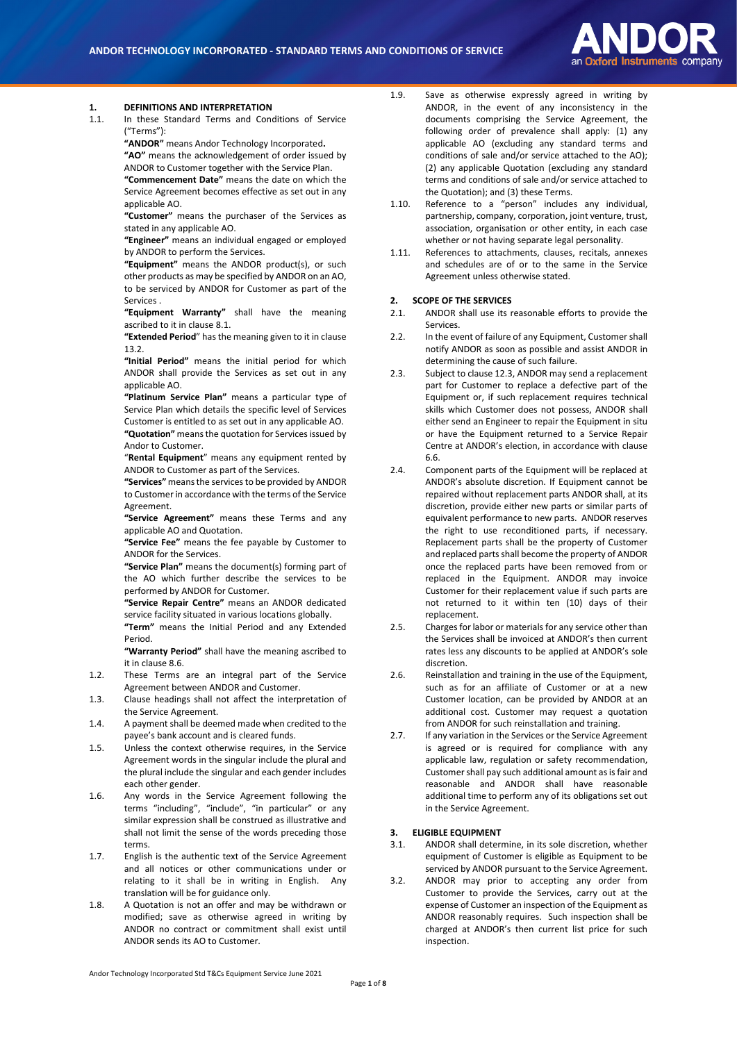

# **1. DEFINITIONS AND INTERPRETATION**

In these Standard Terms and Conditions of Service ("Terms"):

**"ANDOR"** means Andor Technology Incorporated**. "AO"** means the acknowledgement of order issued by ANDOR to Customer together with the Service Plan.

**"Commencement Date"** means the date on which the Service Agreement becomes effective as set out in any applicable AO.

**"Customer"** means the purchaser of the Services as stated in any applicable AO.

**"Engineer"** means an individual engaged or employed by ANDOR to perform the Services.

**"Equipment"** means the ANDOR product(s), or such other products as may be specified by ANDOR on an AO, to be serviced by ANDOR for Customer as part of the Services .

**"Equipment Warranty"** shall have the meaning ascribed to it in clause 8.1.

**"Extended Period**" has the meaning given to it in clause 13.2.

**"Initial Period"** means the initial period for which ANDOR shall provide the Services as set out in any applicable AO.

**"Platinum Service Plan"** means a particular type of Service Plan which details the specific level of Services Customer is entitled to as set out in any applicable AO. **"Quotation"** means the quotation for Services issued by Andor to Customer.

"**Rental Equipment**" means any equipment rented by ANDOR to Customer as part of the Services.

**"Services"** means the services to be provided by ANDOR to Customer in accordance with the terms of the Service Agreement.

**"Service Agreement"** means these Terms and any applicable AO and Quotation.

**"Service Fee"** means the fee payable by Customer to ANDOR for the Services.

**"Service Plan"** means the document(s) forming part of the AO which further describe the services to be performed by ANDOR for Customer.

**"Service Repair Centre"** means an ANDOR dedicated service facility situated in various locations globally.

**"Term"** means the Initial Period and any Extended Period.

**"Warranty Period"** shall have the meaning ascribed to it in clause 8.6.

- 1.2. These Terms are an integral part of the Service Agreement between ANDOR and Customer.
- 1.3. Clause headings shall not affect the interpretation of the Service Agreement.
- 1.4. A payment shall be deemed made when credited to the payee's bank account and is cleared funds.
- 1.5. Unless the context otherwise requires, in the Service Agreement words in the singular include the plural and the plural include the singular and each gender includes each other gender.
- 1.6. Any words in the Service Agreement following the terms "including", "include", "in particular" or any similar expression shall be construed as illustrative and shall not limit the sense of the words preceding those terms.
- 1.7. English is the authentic text of the Service Agreement and all notices or other communications under or relating to it shall be in writing in English. Any translation will be for guidance only.
- 1.8. A Quotation is not an offer and may be withdrawn or modified; save as otherwise agreed in writing by ANDOR no contract or commitment shall exist until ANDOR sends its AO to Customer.
- 1.9. Save as otherwise expressly agreed in writing by ANDOR, in the event of any inconsistency in the documents comprising the Service Agreement, the following order of prevalence shall apply: (1) any applicable AO (excluding any standard terms and conditions of sale and/or service attached to the AO); (2) any applicable Quotation (excluding any standard terms and conditions of sale and/or service attached to the Quotation); and (3) these Terms.
- 1.10. Reference to a "person" includes any individual, partnership, company, corporation, joint venture, trust, association, organisation or other entity, in each case whether or not having separate legal personality.
- 1.11. References to attachments, clauses, recitals, annexes and schedules are of or to the same in the Service Agreement unless otherwise stated.

#### **2. SCOPE OF THE SERVICES**

- 2.1. ANDOR shall use its reasonable efforts to provide the Services.
- 2.2. In the event of failure of any Equipment, Customer shall notify ANDOR as soon as possible and assist ANDOR in determining the cause of such failure.
- 2.3. Subject to clause 12.3, ANDOR may send a replacement part for Customer to replace a defective part of the Equipment or, if such replacement requires technical skills which Customer does not possess, ANDOR shall either send an Engineer to repair the Equipment in situ or have the Equipment returned to a Service Repair Centre at ANDOR's election, in accordance with clause [6.6.](#page-2-0)
- 2.4. Component parts of the Equipment will be replaced at ANDOR's absolute discretion. If Equipment cannot be repaired without replacement parts ANDOR shall, at its discretion, provide either new parts or similar parts of equivalent performance to new parts. ANDOR reserves the right to use reconditioned parts, if necessary. Replacement parts shall be the property of Customer and replaced parts shall become the property of ANDOR once the replaced parts have been removed from or replaced in the Equipment. ANDOR may invoice Customer for their replacement value if such parts are not returned to it within ten (10) days of their replacement.
- 2.5. Charges for labor or materials for any service other than the Services shall be invoiced at ANDOR's then current rates less any discounts to be applied at ANDOR's sole discretion.
- 2.6. Reinstallation and training in the use of the Equipment. such as for an affiliate of Customer or at a new Customer location, can be provided by ANDOR at an additional cost. Customer may request a quotation from ANDOR for such reinstallation and training.
- 2.7. If any variation in the Services or the Service Agreement is agreed or is required for compliance with any applicable law, regulation or safety recommendation, Customer shall pay such additional amount as is fair and reasonable and ANDOR shall have reasonable additional time to perform any of its obligations set out in the Service Agreement.

#### **3. ELIGIBLE EQUIPMENT**

- 3.1. ANDOR shall determine, in its sole discretion, whether equipment of Customer is eligible as Equipment to be serviced by ANDOR pursuant to the Service Agreement.
- <span id="page-0-0"></span>3.2. ANDOR may prior to accepting any order from Customer to provide the Services, carry out at the expense of Customer an inspection of the Equipment as ANDOR reasonably requires. Such inspection shall be charged at ANDOR's then current list price for such inspection.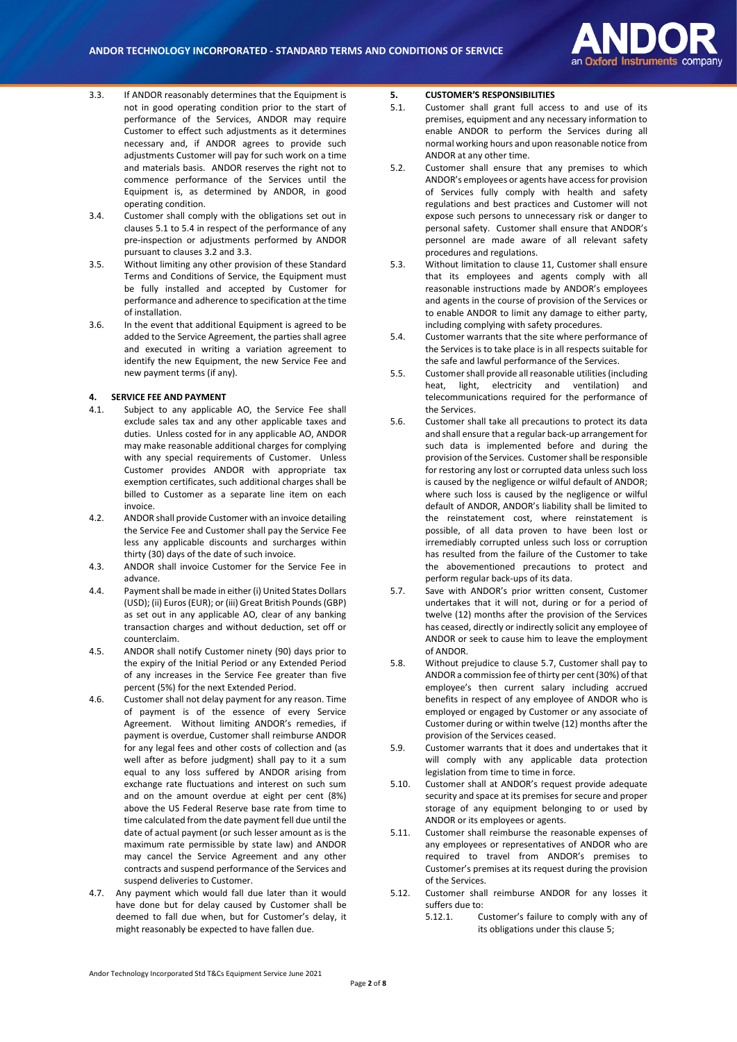

- <span id="page-1-2"></span>3.3. If ANDOR reasonably determines that the Equipment is not in good operating condition prior to the start of performance of the Services, ANDOR may require Customer to effect such adjustments as it determines necessary and, if ANDOR agrees to provide such adjustments Customer will pay for such work on a time and materials basis. ANDOR reserves the right not to commence performance of the Services until the Equipment is, as determined by ANDOR, in good operating condition.
- 3.4. Customer shall comply with the obligations set out in clauses [5.1](#page-1-0) to [5.4](#page-1-1) in respect of the performance of any pre-inspection or adjustments performed by ANDOR pursuant to clause[s 3.2](#page-0-0) an[d 3.3.](#page-1-2)
- 3.5. Without limiting any other provision of these Standard Terms and Conditions of Service, the Equipment must be fully installed and accepted by Customer for performance and adherence to specification at the time of installation.
- 3.6. In the event that additional Equipment is agreed to be added to the Service Agreement, the parties shall agree and executed in writing a variation agreement to identify the new Equipment, the new Service Fee and new payment terms (if any).

#### **4. SERVICE FEE AND PAYMENT**

- 4.1. Subject to any applicable AO, the Service Fee shall exclude sales tax and any other applicable taxes and duties. Unless costed for in any applicable AO, ANDOR may make reasonable additional charges for complying with any special requirements of Customer. Unless Customer provides ANDOR with appropriate tax exemption certificates, such additional charges shall be billed to Customer as a separate line item on each invoice.
- 4.2. ANDOR shall provide Customer with an invoice detailing the Service Fee and Customer shall pay the Service Fee less any applicable discounts and surcharges within thirty (30) days of the date of such invoice.
- 4.3. ANDOR shall invoice Customer for the Service Fee in advance.
- 4.4. Payment shall be made in either (i) United States Dollars (USD); (ii) Euros (EUR); or (iii) Great British Pounds (GBP) as set out in any applicable AO, clear of any banking transaction charges and without deduction, set off or counterclaim.
- 4.5. ANDOR shall notify Customer ninety (90) days prior to the expiry of the Initial Period or any Extended Period of any increases in the Service Fee greater than five percent (5%) for the next Extended Period.
- <span id="page-1-5"></span>4.6. Customer shall not delay payment for any reason. Time of payment is of the essence of every Service Agreement. Without limiting ANDOR's remedies, if payment is overdue, Customer shall reimburse ANDOR for any legal fees and other costs of collection and (as well after as before judgment) shall pay to it a sum equal to any loss suffered by ANDOR arising from exchange rate fluctuations and interest on such sum and on the amount overdue at eight per cent (8%) above the US Federal Reserve base rate from time to time calculated from the date payment fell due until the date of actual payment (or such lesser amount as is the maximum rate permissible by state law) and ANDOR may cancel the Service Agreement and any other contracts and suspend performance of the Services and suspend deliveries to Customer.
- 4.7. Any payment which would fall due later than it would have done but for delay caused by Customer shall be deemed to fall due when, but for Customer's delay, it might reasonably be expected to have fallen due.

## <span id="page-1-4"></span>**5. CUSTOMER'S RESPONSIBILITIES**

- <span id="page-1-0"></span>5.1. Customer shall grant full access to and use of its premises, equipment and any necessary information to enable ANDOR to perform the Services during all normal working hours and upon reasonable notice from ANDOR at any other time.
- 5.2. Customer shall ensure that any premises to which ANDOR's employees or agents have access for provision of Services fully comply with health and safety regulations and best practices and Customer will not expose such persons to unnecessary risk or danger to personal safety. Customer shall ensure that ANDOR's personnel are made aware of all relevant safety procedures and regulations.
- 5.3. Without limitation to clause 11, Customer shall ensure that its employees and agents comply with all reasonable instructions made by ANDOR's employees and agents in the course of provision of the Services or to enable ANDOR to limit any damage to either party, including complying with safety procedures.
- <span id="page-1-1"></span>5.4. Customer warrants that the site where performance of the Services is to take place is in all respects suitable for the safe and lawful performance of the Services.
- 5.5. Customer shall provide all reasonable utilities (including heat, light, electricity and ventilation) and telecommunications required for the performance of the Services.
- 5.6. Customer shall take all precautions to protect its data and shall ensure that a regular back-up arrangement for such data is implemented before and during the provision of the Services. Customer shall be responsible for restoring any lost or corrupted data unless such loss is caused by the negligence or wilful default of ANDOR; where such loss is caused by the negligence or wilful default of ANDOR, ANDOR's liability shall be limited to the reinstatement cost, where reinstatement is possible, of all data proven to have been lost or irremediably corrupted unless such loss or corruption has resulted from the failure of the Customer to take the abovementioned precautions to protect and perform regular back-ups of its data.
- <span id="page-1-3"></span>5.7. Save with ANDOR's prior written consent, Customer undertakes that it will not, during or for a period of twelve (12) months after the provision of the Services has ceased, directly or indirectly solicit any employee of ANDOR or seek to cause him to leave the employment of ANDOR.
- 5.8. Without prejudice to clause [5.7,](#page-1-3) Customer shall pay to ANDOR a commission fee of thirty per cent (30%) of that employee's then current salary including accrued benefits in respect of any employee of ANDOR who is employed or engaged by Customer or any associate of Customer during or within twelve (12) months after the provision of the Services ceased.
- 5.9. Customer warrants that it does and undertakes that it will comply with any applicable data protection legislation from time to time in force.
- 5.10. Customer shall at ANDOR's request provide adequate security and space at its premises for secure and proper storage of any equipment belonging to or used by ANDOR or its employees or agents.
- 5.11. Customer shall reimburse the reasonable expenses of any employees or representatives of ANDOR who are required to travel from ANDOR's premises to Customer's premises at its request during the provision of the Services.
- 5.12. Customer shall reimburse ANDOR for any losses it suffers due to:
	- 5.12.1. Customer's failure to comply with any of its obligations under this claus[e 5;](#page-1-4)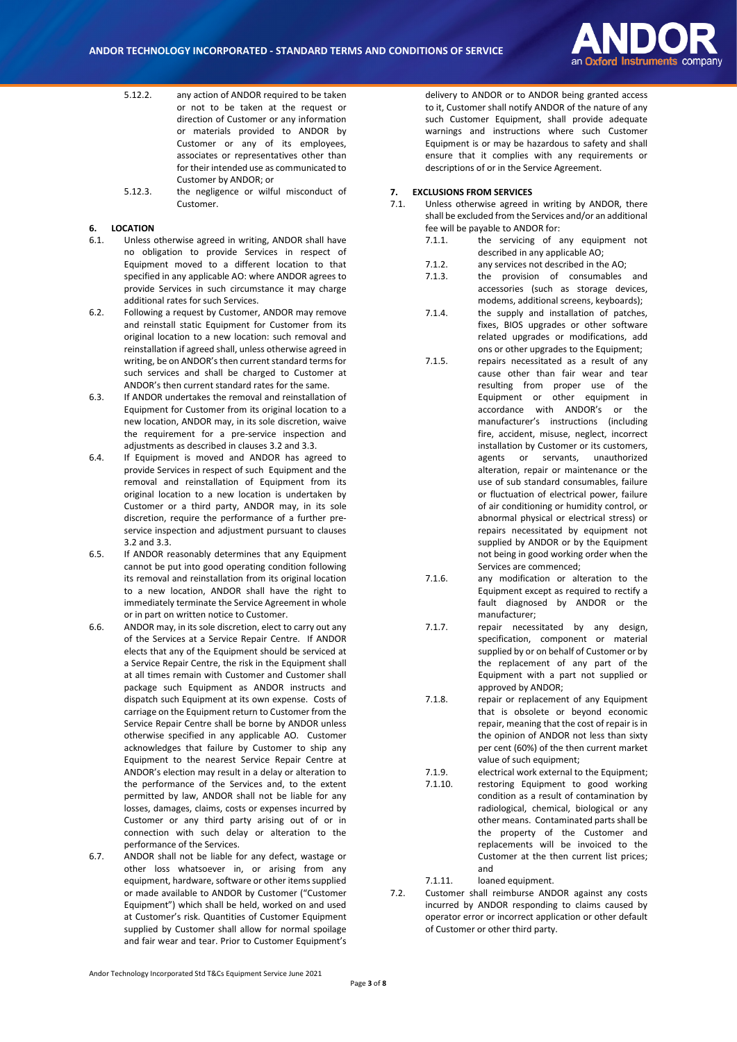

- 5.12.2. any action of ANDOR required to be taken or not to be taken at the request or direction of Customer or any information or materials provided to ANDOR by Customer or any of its employees, associates or representatives other than for their intended use as communicated to Customer by ANDOR; or
- 5.12.3. the negligence or wilful misconduct of Customer.

## **6. LOCATION**

- 6.1. Unless otherwise agreed in writing, ANDOR shall have no obligation to provide Services in respect of Equipment moved to a different location to that specified in any applicable AO: where ANDOR agrees to provide Services in such circumstance it may charge additional rates for such Services.
- 6.2. Following a request by Customer, ANDOR may remove and reinstall static Equipment for Customer from its original location to a new location: such removal and reinstallation if agreed shall, unless otherwise agreed in writing, be on ANDOR's then current standard terms for such services and shall be charged to Customer at ANDOR's then current standard rates for the same.
- 6.3. If ANDOR undertakes the removal and reinstallation of Equipment for Customer from its original location to a new location, ANDOR may, in its sole discretion, waive the requirement for a pre-service inspection and adjustments as described in clause[s 3.2](#page-0-0) an[d 3.3.](#page-1-2)
- 6.4. If Equipment is moved and ANDOR has agreed to provide Services in respect of such Equipment and the removal and reinstallation of Equipment from its original location to a new location is undertaken by Customer or a third party, ANDOR may, in its sole discretion, require the performance of a further preservice inspection and adjustment pursuant to clauses [3.2](#page-0-0) an[d 3.3.](#page-1-2)
- 6.5. If ANDOR reasonably determines that any Equipment cannot be put into good operating condition following its removal and reinstallation from its original location to a new location, ANDOR shall have the right to immediately terminate the Service Agreement in whole or in part on written notice to Customer.
- <span id="page-2-0"></span>6.6. ANDOR may, in its sole discretion, elect to carry out any of the Services at a Service Repair Centre. If ANDOR elects that any of the Equipment should be serviced at a Service Repair Centre, the risk in the Equipment shall at all times remain with Customer and Customer shall package such Equipment as ANDOR instructs and dispatch such Equipment at its own expense. Costs of carriage on the Equipment return to Customer from the Service Repair Centre shall be borne by ANDOR unless otherwise specified in any applicable AO. Customer acknowledges that failure by Customer to ship any Equipment to the nearest Service Repair Centre at ANDOR's election may result in a delay or alteration to the performance of the Services and, to the extent permitted by law, ANDOR shall not be liable for any losses, damages, claims, costs or expenses incurred by Customer or any third party arising out of or in connection with such delay or alteration to the performance of the Services.
- 6.7. ANDOR shall not be liable for any defect, wastage or other loss whatsoever in, or arising from any equipment, hardware, software or other items supplied or made available to ANDOR by Customer ("Customer Equipment") which shall be held, worked on and used at Customer's risk. Quantities of Customer Equipment supplied by Customer shall allow for normal spoilage and fair wear and tear. Prior to Customer Equipment's

delivery to ANDOR or to ANDOR being granted access to it, Customer shall notify ANDOR of the nature of any such Customer Equipment, shall provide adequate warnings and instructions where such Customer Equipment is or may be hazardous to safety and shall ensure that it complies with any requirements or descriptions of or in the Service Agreement.

#### **7. EXCLUSIONS FROM SERVICES**

- 7.1. Unless otherwise agreed in writing by ANDOR, there shall be excluded from the Services and/or an additional fee will be payable to ANDOR for:
	- 7.1.1. the servicing of any equipment not described in any applicable AO;
	- 7.1.2. any services not described in the AO;
	- 7.1.3. the provision of consumables and accessories (such as storage devices, modems, additional screens, keyboards);
	- 7.1.4. the supply and installation of patches, fixes, BIOS upgrades or other software related upgrades or modifications, add ons or other upgrades to the Equipment;
	- 7.1.5. repairs necessitated as a result of any cause other than fair wear and tear resulting from proper use of the Equipment or other equipment in accordance with ANDOR's or the manufacturer's instructions (including fire, accident, misuse, neglect, incorrect installation by Customer or its customers, agents or servants, unauthorized alteration, repair or maintenance or the use of sub standard consumables, failure or fluctuation of electrical power, failure of air conditioning or humidity control, or abnormal physical or electrical stress) or repairs necessitated by equipment not supplied by ANDOR or by the Equipment not being in good working order when the Services are commenced;
	- 7.1.6. any modification or alteration to the Equipment except as required to rectify a fault diagnosed by ANDOR or the manufacturer;
	- 7.1.7. repair necessitated by any design, specification, component or material supplied by or on behalf of Customer or by the replacement of any part of the Equipment with a part not supplied or approved by ANDOR;
	- 7.1.8. repair or replacement of any Equipment that is obsolete or beyond economic repair, meaning that the cost of repair is in the opinion of ANDOR not less than sixty per cent (60%) of the then current market value of such equipment;
	- 7.1.9. electrical work external to the Equipment; 7.1.10. restoring Equipment to good working condition as a result of contamination by radiological, chemical, biological or any other means. Contaminated parts shall be the property of the Customer and replacements will be invoiced to the Customer at the then current list prices; and

7.1.11. loaned equipment.

7.2. Customer shall reimburse ANDOR against any costs incurred by ANDOR responding to claims caused by operator error or incorrect application or other default of Customer or other third party.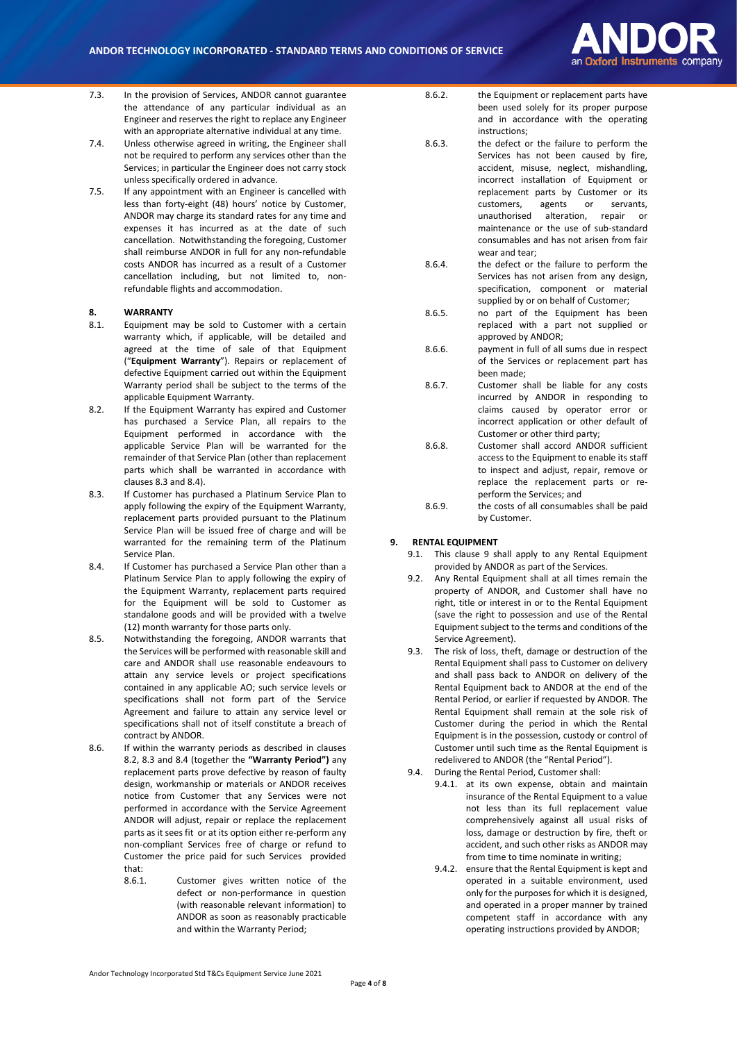

- 7.3. In the provision of Services, ANDOR cannot guarantee the attendance of any particular individual as an Engineer and reserves the right to replace any Engineer with an appropriate alternative individual at any time.
- 7.4. Unless otherwise agreed in writing, the Engineer shall not be required to perform any services other than the Services; in particular the Engineer does not carry stock unless specifically ordered in advance.
- 7.5. If any appointment with an Engineer is cancelled with less than forty-eight (48) hours' notice by Customer, ANDOR may charge its standard rates for any time and expenses it has incurred as at the date of such cancellation. Notwithstanding the foregoing, Customer shall reimburse ANDOR in full for any non-refundable costs ANDOR has incurred as a result of a Customer cancellation including, but not limited to, nonrefundable flights and accommodation.

#### **8. WARRANTY**

- 8.1. Equipment may be sold to Customer with a certain warranty which, if applicable, will be detailed and agreed at the time of sale of that Equipment ("**Equipment Warranty**"). Repairs or replacement of defective Equipment carried out within the Equipment Warranty period shall be subject to the terms of the applicable Equipment Warranty.
- 8.2. If the Equipment Warranty has expired and Customer has purchased a Service Plan, all repairs to the Equipment performed in accordance with the applicable Service Plan will be warranted for the remainder of that Service Plan (other than replacement parts which shall be warranted in accordance with clauses 8.3 and 8.4).
- 8.3. If Customer has purchased a Platinum Service Plan to apply following the expiry of the Equipment Warranty, replacement parts provided pursuant to the Platinum Service Plan will be issued free of charge and will be warranted for the remaining term of the Platinum Service Plan.
- 8.4. If Customer has purchased a Service Plan other than a Platinum Service Plan to apply following the expiry of the Equipment Warranty, replacement parts required for the Equipment will be sold to Customer as standalone goods and will be provided with a twelve (12) month warranty for those parts only.
- 8.5. Notwithstanding the foregoing, ANDOR warrants that the Services will be performed with reasonable skill and care and ANDOR shall use reasonable endeavours to attain any service levels or project specifications contained in any applicable AO; such service levels or specifications shall not form part of the Service Agreement and failure to attain any service level or specifications shall not of itself constitute a breach of contract by ANDOR.
- 8.6. If within the warranty periods as described in clauses 8.2, 8.3 and 8.4 (together the **"Warranty Period")** any replacement parts prove defective by reason of faulty design, workmanship or materials or ANDOR receives notice from Customer that any Services were not performed in accordance with the Service Agreement ANDOR will adjust, repair or replace the replacement parts as it sees fit or at its option either re-perform any non-compliant Services free of charge or refund to Customer the price paid for such Services provided that:
	- 8.6.1. Customer gives written notice of the defect or non-performance in question (with reasonable relevant information) to ANDOR as soon as reasonably practicable and within the Warranty Period;
- 8.6.2. the Equipment or replacement parts have been used solely for its proper purpose and in accordance with the operating instructions;
- 8.6.3. the defect or the failure to perform the Services has not been caused by fire, accident, misuse, neglect, mishandling, incorrect installation of Equipment or replacement parts by Customer or its customers, agents or servants, unauthorised alteration, repair or maintenance or the use of sub-standard consumables and has not arisen from fair wear and tear;
- 8.6.4. the defect or the failure to perform the Services has not arisen from any design, specification, component or material supplied by or on behalf of Customer;
- 8.6.5. no part of the Equipment has been replaced with a part not supplied or approved by ANDOR;
- 8.6.6. payment in full of all sums due in respect of the Services or replacement part has been made;
- 8.6.7. Customer shall be liable for any costs incurred by ANDOR in responding to claims caused by operator error or incorrect application or other default of Customer or other third party;
- 8.6.8. Customer shall accord ANDOR sufficient access to the Equipment to enable its staff to inspect and adjust, repair, remove or replace the replacement parts or reperform the Services; and
- 8.6.9. the costs of all consumables shall be paid by Customer.

#### **9. RENTAL EQUIPMENT**

- 9.1. This clause 9 shall apply to any Rental Equipment provided by ANDOR as part of the Services.
- 9.2. Any Rental Equipment shall at all times remain the property of ANDOR, and Customer shall have no right, title or interest in or to the Rental Equipment (save the right to possession and use of the Rental Equipment subject to the terms and conditions of the Service Agreement).
- 9.3. The risk of loss, theft, damage or destruction of the Rental Equipment shall pass to Customer on delivery and shall pass back to ANDOR on delivery of the Rental Equipment back to ANDOR at the end of the Rental Period, or earlier if requested by ANDOR. The Rental Equipment shall remain at the sole risk of Customer during the period in which the Rental Equipment is in the possession, custody or control of Customer until such time as the Rental Equipment is redelivered to ANDOR (the "Rental Period").
- 9.4. During the Rental Period, Customer shall:
	- 9.4.1. at its own expense, obtain and maintain insurance of the Rental Equipment to a value not less than its full replacement value comprehensively against all usual risks of loss, damage or destruction by fire, theft or accident, and such other risks as ANDOR may from time to time nominate in writing;
	- 9.4.2. ensure that the Rental Equipment is kept and operated in a suitable environment, used only for the purposes for which it is designed, and operated in a proper manner by trained competent staff in accordance with any operating instructions provided by ANDOR;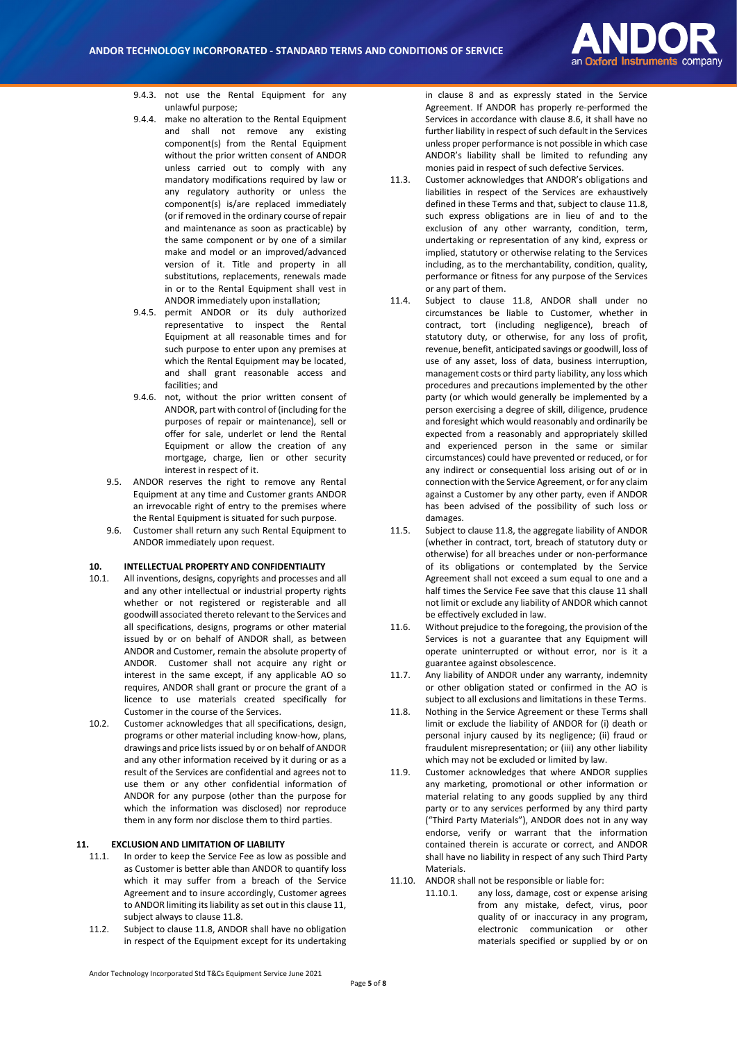

- 9.4.3. not use the Rental Equipment for any unlawful purpose;
- 9.4.4. make no alteration to the Rental Fquinment and shall not remove any existing component(s) from the Rental Equipment without the prior written consent of ANDOR unless carried out to comply with any mandatory modifications required by law or any regulatory authority or unless the component(s) is/are replaced immediately (or if removed in the ordinary course of repair and maintenance as soon as practicable) by the same component or by one of a similar make and model or an improved/advanced version of it. Title and property in all substitutions, replacements, renewals made in or to the Rental Equipment shall vest in ANDOR immediately upon installation;
- 9.4.5. permit ANDOR or its duly authorized representative to inspect the Rental Equipment at all reasonable times and for such purpose to enter upon any premises at which the Rental Equipment may be located, and shall grant reasonable access and facilities; and
- 9.4.6. not, without the prior written consent of ANDOR, part with control of (including for the purposes of repair or maintenance), sell or offer for sale, underlet or lend the Rental Equipment or allow the creation of any mortgage, charge, lien or other security interest in respect of it.
- 9.5. ANDOR reserves the right to remove any Rental Equipment at any time and Customer grants ANDOR an irrevocable right of entry to the premises where the Rental Equipment is situated for such purpose.
- 9.6. Customer shall return any such Rental Equipment to ANDOR immediately upon request.

#### **10. INTELLECTUAL PROPERTY AND CONFIDENTIALITY**

- 10.1. All inventions, designs, copyrights and processes and all and any other intellectual or industrial property rights whether or not registered or registerable and all goodwill associated thereto relevant to the Services and all specifications, designs, programs or other material issued by or on behalf of ANDOR shall, as between ANDOR and Customer, remain the absolute property of ANDOR. Customer shall not acquire any right or interest in the same except, if any applicable AO so requires, ANDOR shall grant or procure the grant of a licence to use materials created specifically for Customer in the course of the Services.
- 10.2. Customer acknowledges that all specifications, design, programs or other material including know-how, plans, drawings and price lists issued by or on behalf of ANDOR and any other information received by it during or as a result of the Services are confidential and agrees not to use them or any other confidential information of ANDOR for any purpose (other than the purpose for which the information was disclosed) nor reproduce them in any form nor disclose them to third parties.

### **11. EXCLUSION AND LIMITATION OF LIABILITY**

- 11.1. In order to keep the Service Fee as low as possible and as Customer is better able than ANDOR to quantify loss which it may suffer from a breach of the Service Agreement and to insure accordingly, Customer agrees to ANDOR limiting its liability as set out in this clause 11, subject always to clause 11.8.
- 11.2. Subject to clause 11.8, ANDOR shall have no obligation in respect of the Equipment except for its undertaking

in clause 8 and as expressly stated in the Service Agreement. If ANDOR has properly re-performed the Services in accordance with clause 8.6, it shall have no further liability in respect of such default in the Services unless proper performance is not possible in which case ANDOR's liability shall be limited to refunding any monies paid in respect of such defective Services.

- 11.3. Customer acknowledges that ANDOR's obligations and liabilities in respect of the Services are exhaustively defined in these Terms and that, subject to clause 11.8, such express obligations are in lieu of and to the exclusion of any other warranty, condition, term, undertaking or representation of any kind, express or implied, statutory or otherwise relating to the Services including, as to the merchantability, condition, quality, performance or fitness for any purpose of the Services or any part of them.
- 11.4. Subject to clause 11.8, ANDOR shall under no circumstances be liable to Customer, whether in contract, tort (including negligence), breach of statutory duty, or otherwise, for any loss of profit, revenue, benefit, anticipated savings or goodwill, loss of use of any asset, loss of data, business interruption, management costs or third party liability, any loss which procedures and precautions implemented by the other party (or which would generally be implemented by a person exercising a degree of skill, diligence, prudence and foresight which would reasonably and ordinarily be expected from a reasonably and appropriately skilled and experienced person in the same or similar circumstances) could have prevented or reduced, or for any indirect or consequential loss arising out of or in connection with the Service Agreement, or for any claim against a Customer by any other party, even if ANDOR has been advised of the possibility of such loss or damages.
- 11.5. Subject to clause 11.8, the aggregate liability of ANDOR (whether in contract, tort, breach of statutory duty or otherwise) for all breaches under or non-performance of its obligations or contemplated by the Service Agreement shall not exceed a sum equal to one and a half times the Service Fee save that this clause 11 shall not limit or exclude any liability of ANDOR which cannot be effectively excluded in law.
- 11.6. Without prejudice to the foregoing, the provision of the Services is not a guarantee that any Equipment will operate uninterrupted or without error, nor is it a guarantee against obsolescence.
- 11.7. Any liability of ANDOR under any warranty, indemnity or other obligation stated or confirmed in the AO is subject to all exclusions and limitations in these Terms.
- <span id="page-4-0"></span>11.8. Nothing in the Service Agreement or these Terms shall limit or exclude the liability of ANDOR for (i) death or personal injury caused by its negligence; (ii) fraud or fraudulent misrepresentation; or (iii) any other liability which may not be excluded or limited by law.
- 11.9. Customer acknowledges that where ANDOR supplies any marketing, promotional or other information or material relating to any goods supplied by any third party or to any services performed by any third party ("Third Party Materials"), ANDOR does not in any way endorse, verify or warrant that the information contained therein is accurate or correct, and ANDOR shall have no liability in respect of any such Third Party Materials.
- 11.10. ANDOR shall not be responsible or liable for:
	- 11.10.1. any loss, damage, cost or expense arising from any mistake, defect, virus, poor quality of or inaccuracy in any program, electronic communication or other materials specified or supplied by or on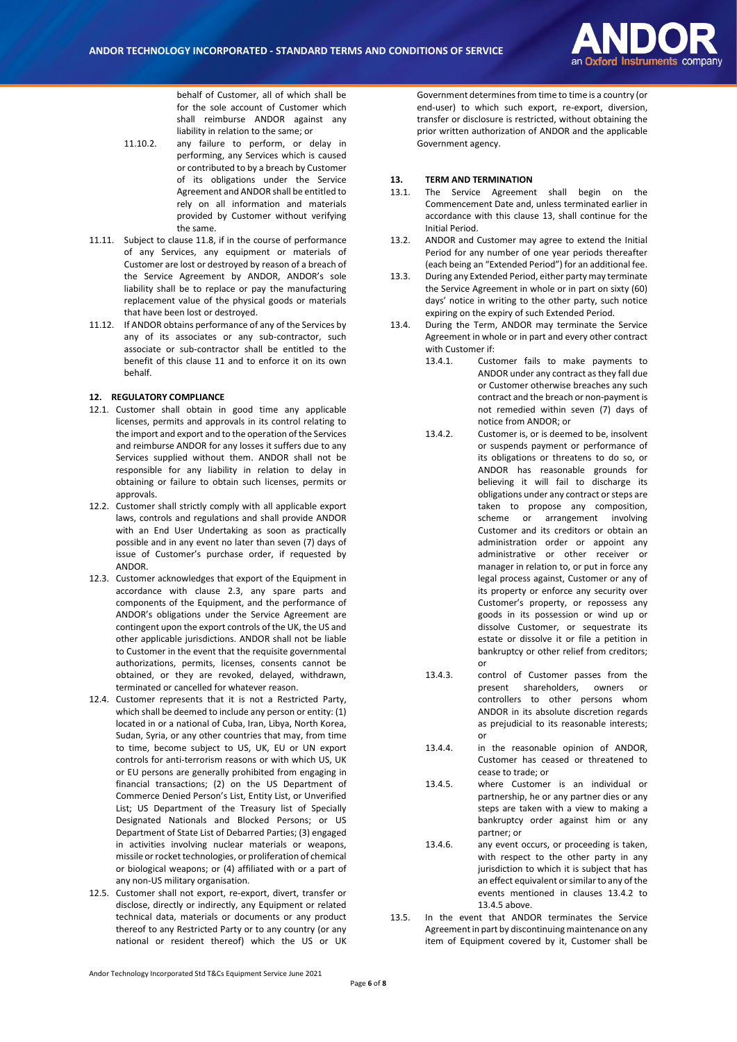

behalf of Customer, all of which shall be for the sole account of Customer which shall reimburse ANDOR against any liability in relation to the same; or

- 11.10.2. any failure to perform, or delay in performing, any Services which is caused or contributed to by a breach by Customer of its obligations under the Service Agreement and ANDOR shall be entitled to rely on all information and materials provided by Customer without verifying the same.
- 11.11. Subject to claus[e 11.8,](#page-4-0) if in the course of performance of any Services, any equipment or materials of Customer are lost or destroyed by reason of a breach of the Service Agreement by ANDOR, ANDOR's sole liability shall be to replace or pay the manufacturing replacement value of the physical goods or materials that have been lost or destroyed.
- 11.12. If ANDOR obtains performance of any of the Services by any of its associates or any sub-contractor, such associate or sub-contractor shall be entitled to the benefit of this clause 11 and to enforce it on its own behalf.

#### **12. REGULATORY COMPLIANCE**

- 12.1. Customer shall obtain in good time any applicable licenses, permits and approvals in its control relating to the import and export and to the operation of the Services and reimburse ANDOR for any losses it suffers due to any Services supplied without them. ANDOR shall not be responsible for any liability in relation to delay in obtaining or failure to obtain such licenses, permits or approvals.
- 12.2. Customer shall strictly comply with all applicable export laws, controls and regulations and shall provide ANDOR with an End User Undertaking as soon as practically possible and in any event no later than seven (7) days of issue of Customer's purchase order, if requested by ANDOR.
- 12.3. Customer acknowledges that export of the Equipment in accordance with clause 2.3, any spare parts and components of the Equipment, and the performance of ANDOR's obligations under the Service Agreement are contingent upon the export controls of the UK, the US and other applicable jurisdictions. ANDOR shall not be liable to Customer in the event that the requisite governmental authorizations, permits, licenses, consents cannot be obtained, or they are revoked, delayed, withdrawn, terminated or cancelled for whatever reason.
- 12.4. Customer represents that it is not a Restricted Party, which shall be deemed to include any person or entity: (1) located in or a national of Cuba, Iran, Libya, North Korea, Sudan, Syria, or any other countries that may, from time to time, become subject to US, UK, EU or UN export controls for anti-terrorism reasons or with which US, UK or EU persons are generally prohibited from engaging in financial transactions; (2) on the US Department of Commerce Denied Person's List, Entity List, or Unverified List; US Department of the Treasury list of Specially Designated Nationals and Blocked Persons; or US Department of State List of Debarred Parties; (3) engaged in activities involving nuclear materials or weapons, missile or rocket technologies, or proliferation of chemical or biological weapons; or (4) affiliated with or a part of any non-US military organisation.
- 12.5. Customer shall not export, re-export, divert, transfer or disclose, directly or indirectly, any Equipment or related technical data, materials or documents or any product thereof to any Restricted Party or to any country (or any national or resident thereof) which the US or UK

Government determines from time to time is a country (or end-user) to which such export, re-export, diversion, transfer or disclosure is restricted, without obtaining the prior written authorization of ANDOR and the applicable Government agency.

# **13. TERM AND TERMINATION**

- The Service Agreement shall begin on the Commencement Date and, unless terminated earlier in accordance with this clause 13, shall continue for the Initial Period.
- 13.2. ANDOR and Customer may agree to extend the Initial Period for any number of one year periods thereafter (each being an "Extended Period") for an additional fee.
- 13.3. During any Extended Period, either party may terminate the Service Agreement in whole or in part on sixty (60) days' notice in writing to the other party, such notice expiring on the expiry of such Extended Period.
- <span id="page-5-0"></span>13.4. During the Term, ANDOR may terminate the Service Agreement in whole or in part and every other contract with Customer if:
	- 13.4.1. Customer fails to make payments to ANDOR under any contract as they fall due or Customer otherwise breaches any such contract and the breach or non-payment is not remedied within seven (7) days of notice from ANDOR; or
	- 13.4.2. Customer is, or is deemed to be, insolvent or suspends payment or performance of its obligations or threatens to do so, or ANDOR has reasonable grounds for believing it will fail to discharge its obligations under any contract or steps are taken to propose any composition, scheme or arrangement involving Customer and its creditors or obtain an administration order or appoint any administrative or other receiver or manager in relation to, or put in force any legal process against, Customer or any of its property or enforce any security over Customer's property, or repossess any goods in its possession or wind up or dissolve Customer, or sequestrate its estate or dissolve it or file a petition in bankruptcy or other relief from creditors; or
	- 13.4.3. control of Customer passes from the present shareholders, owners or controllers to other persons whom ANDOR in its absolute discretion regards as prejudicial to its reasonable interests; or
	- 13.4.4. in the reasonable opinion of ANDOR, Customer has ceased or threatened to cease to trade; or
	- 13.4.5. where Customer is an individual or partnership, he or any partner dies or any steps are taken with a view to making a bankruptcy order against him or any partner; or
	- 13.4.6. any event occurs, or proceeding is taken, with respect to the other party in any jurisdiction to which it is subject that has an effect equivalent or similar to any of the events mentioned in clauses [13.4.2](#page-5-0) to [13.4.5](#page-5-1) above.
- <span id="page-5-1"></span>13.5. In the event that ANDOR terminates the Service Agreement in part by discontinuing maintenance on any item of Equipment covered by it, Customer shall be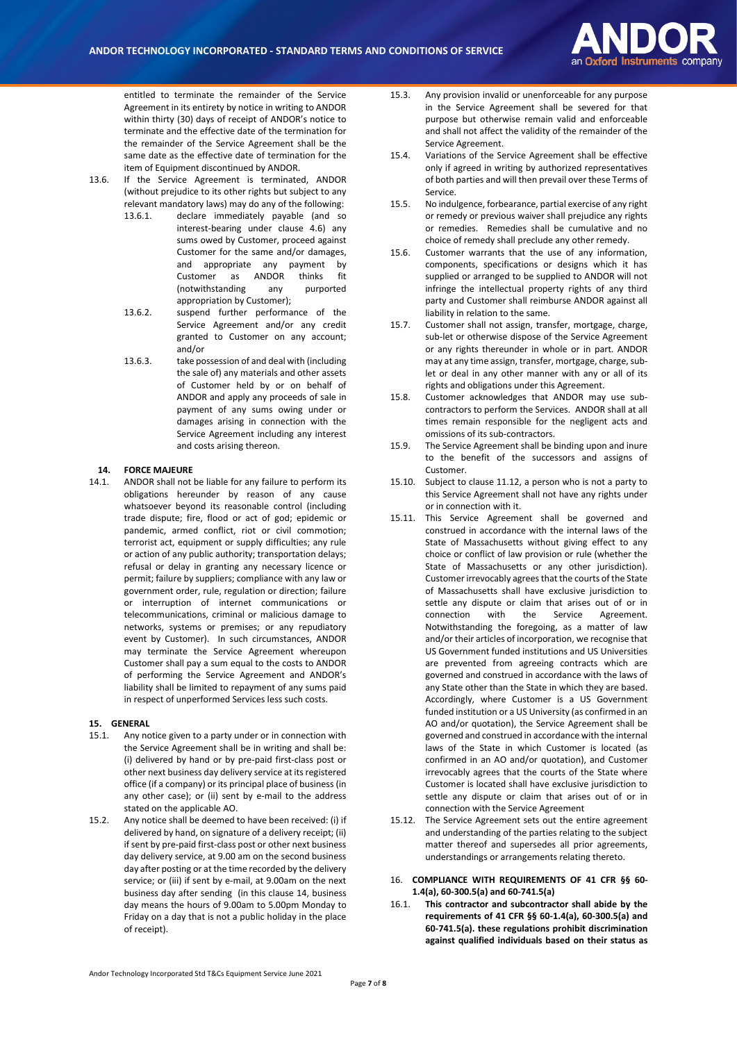

entitled to terminate the remainder of the Service Agreement in its entirety by notice in writing to ANDOR within thirty (30) days of receipt of ANDOR's notice to terminate and the effective date of the termination for the remainder of the Service Agreement shall be the same date as the effective date of termination for the item of Equipment discontinued by ANDOR.

- 13.6. If the Service Agreement is terminated, ANDOR (without prejudice to its other rights but subject to any relevant mandatory laws) may do any of the following:
	- 13.6.1. declare immediately payable (and so interest-bearing under clause [4.6\)](#page-1-5) any sums owed by Customer, proceed against Customer for the same and/or damages, and appropriate any payment by Customer as ANDOR thinks fit (notwithstanding any purported appropriation by Customer);
	- 13.6.2. suspend further performance of the Service Agreement and/or any credit granted to Customer on any account; and/or
	- 13.6.3. take possession of and deal with (including the sale of) any materials and other assets of Customer held by or on behalf of ANDOR and apply any proceeds of sale in payment of any sums owing under or damages arising in connection with the Service Agreement including any interest and costs arising thereon.

### **14. FORCE MAJEURE**

14.1. ANDOR shall not be liable for any failure to perform its obligations hereunder by reason of any cause whatsoever beyond its reasonable control (including trade dispute; fire, flood or act of god; epidemic or pandemic, armed conflict, riot or civil commotion; terrorist act, equipment or supply difficulties; any rule or action of any public authority; transportation delays; refusal or delay in granting any necessary licence or permit; failure by suppliers; compliance with any law or government order, rule, regulation or direction; failure or interruption of internet communications or telecommunications, criminal or malicious damage to networks, systems or premises; or any repudiatory event by Customer). In such circumstances, ANDOR may terminate the Service Agreement whereupon Customer shall pay a sum equal to the costs to ANDOR of performing the Service Agreement and ANDOR's liability shall be limited to repayment of any sums paid in respect of unperformed Services less such costs.

#### **15. GENERAL**

- 15.1. Any notice given to a party under or in connection with the Service Agreement shall be in writing and shall be: (i) delivered by hand or by pre-paid first-class post or other next business day delivery service at its registered office (if a company) or its principal place of business (in any other case); or (ii) sent by e-mail to the address stated on the applicable AO.
- 15.2. Any notice shall be deemed to have been received: (i) if delivered by hand, on signature of a delivery receipt; (ii) if sent by pre-paid first-class post or other next business day delivery service, at 9.00 am on the second business day after posting or at the time recorded by the delivery service; or (iii) if sent by e-mail, at 9.00am on the next business day after sending (in this clause 14, business day means the hours of 9.00am to 5.00pm Monday to Friday on a day that is not a public holiday in the place of receipt).
- 15.3. Any provision invalid or unenforceable for any purpose in the Service Agreement shall be severed for that purpose but otherwise remain valid and enforceable and shall not affect the validity of the remainder of the Service Agreement.
- 15.4. Variations of the Service Agreement shall be effective only if agreed in writing by authorized representatives of both parties and will then prevail over these Terms of Service.
- 15.5. No indulgence, forbearance, partial exercise of any right or remedy or previous waiver shall prejudice any rights or remedies. Remedies shall be cumulative and no choice of remedy shall preclude any other remedy.
- 15.6. Customer warrants that the use of any information, components, specifications or designs which it has supplied or arranged to be supplied to ANDOR will not infringe the intellectual property rights of any third party and Customer shall reimburse ANDOR against all liability in relation to the same.
- 15.7. Customer shall not assign, transfer, mortgage, charge, sub-let or otherwise dispose of the Service Agreement or any rights thereunder in whole or in part. ANDOR may at any time assign, transfer, mortgage, charge, sublet or deal in any other manner with any or all of its rights and obligations under this Agreement.
- 15.8. Customer acknowledges that ANDOR may use subcontractors to perform the Services. ANDOR shall at all times remain responsible for the negligent acts and omissions of its sub-contractors.
- 15.9. The Service Agreement shall be binding upon and inure to the benefit of the successors and assigns of Customer.
- 15.10. Subject to clause 11.12, a person who is not a party to this Service Agreement shall not have any rights under or in connection with it.
- 15.11. This Service Agreement shall be governed and construed in accordance with the internal laws of the State of Massachusetts without giving effect to any choice or conflict of law provision or rule (whether the State of Massachusetts or any other jurisdiction). Customer irrevocably agrees that the courts of the State of Massachusetts shall have exclusive jurisdiction to settle any dispute or claim that arises out of or in connection with the Service Agreement. Notwithstanding the foregoing, as a matter of law and/or their articles of incorporation, we recognise that US Government funded institutions and US Universities are prevented from agreeing contracts which are governed and construed in accordance with the laws of any State other than the State in which they are based. Accordingly, where Customer is a US Government funded institution or a US University (as confirmed in an AO and/or quotation), the Service Agreement shall be governed and construed in accordance with the internal laws of the State in which Customer is located (as confirmed in an AO and/or quotation), and Customer irrevocably agrees that the courts of the State where Customer is located shall have exclusive jurisdiction to settle any dispute or claim that arises out of or in connection with the Service Agreement
- 15.12. The Service Agreement sets out the entire agreement and understanding of the parties relating to the subject matter thereof and supersedes all prior agreements, understandings or arrangements relating thereto.
- 16. **COMPLIANCE WITH REQUIREMENTS OF 41 CFR §§ 60- 1.4(a), 60-300.5(a) and 60-741.5(a)**
- 16.1. **This contractor and subcontractor shall abide by the requirements of 41 CFR §§ 60-1.4(a), 60-300.5(a) and 60-741.5(a). these regulations prohibit discrimination against qualified individuals based on their status as**